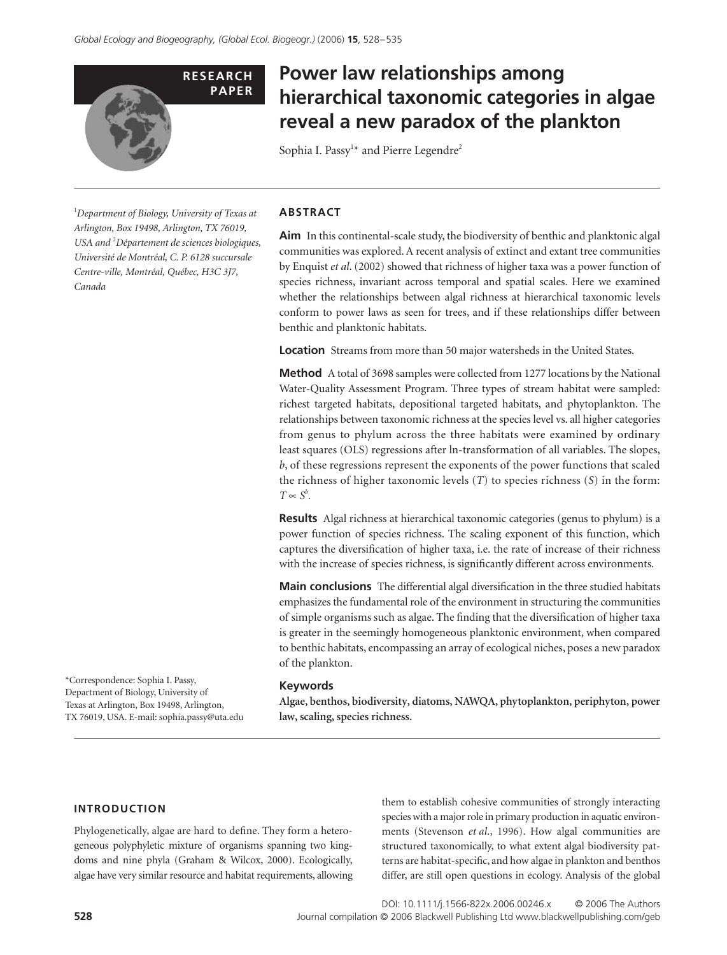

# **Power law relationships among hierarchical taxonomic categories in algae reveal a new paradox of the plankton**

Sophia I. Passy<sup>1\*</sup> and Pierre Legendre<sup>2</sup>

1 *Department of Biology, University of Texas at Arlington, Box 19498, Arlington, TX 76019, USA and* <sup>2</sup> *Département de sciences biologiques, Université de Montréal, C. P. 6128 succursale Centre-ville, Montréal, Québec, H3C 3J7, Canada* 

# **ABSTRACT**

**Aim** In this continental-scale study, the biodiversity of benthic and planktonic algal communities was explored. A recent analysis of extinct and extant tree communities by Enquist *et al*. (2002) showed that richness of higher taxa was a power function of species richness, invariant across temporal and spatial scales. Here we examined whether the relationships between algal richness at hierarchical taxonomic levels conform to power laws as seen for trees, and if these relationships differ between benthic and planktonic habitats.

**Location** Streams from more than 50 major watersheds in the United States.

**Method** A total of 3698 samples were collected from 1277 locations by the National Water-Quality Assessment Program. Three types of stream habitat were sampled: richest targeted habitats, depositional targeted habitats, and phytoplankton. The relationships between taxonomic richness at the species level vs. all higher categories from genus to phylum across the three habitats were examined by ordinary least squares (OLS) regressions after ln-transformation of all variables. The slopes, *b*, of these regressions represent the exponents of the power functions that scaled the richness of higher taxonomic levels (*T*) to species richness (*S*) in the form:  $T \propto S^b$ .

**Results** Algal richness at hierarchical taxonomic categories (genus to phylum) is a power function of species richness. The scaling exponent of this function, which captures the diversification of higher taxa, i.e. the rate of increase of their richness with the increase of species richness, is significantly different across environments.

**Main conclusions** The differential algal diversification in the three studied habitats emphasizes the fundamental role of the environment in structuring the communities of simple organisms such as algae. The finding that the diversification of higher taxa is greater in the seemingly homogeneous planktonic environment, when compared to benthic habitats, encompassing an array of ecological niches, poses a new paradox of the plankton.

#### **Keywords**

**Algae, benthos, biodiversity, diatoms, NAWQA, phytoplankton, periphyton, power law, scaling, species richness.**

\*Correspondence: Sophia I. Passy, Department of Biology, University of Texas at Arlington, Box 19498, Arlington, TX 76019, USA. E-mail: sophia.passy@uta.edu

# **INTRODUCTION**

Phylogenetically, algae are hard to define. They form a heterogeneous polyphyletic mixture of organisms spanning two kingdoms and nine phyla (Graham & Wilcox, 2000). Ecologically, algae have very similar resource and habitat requirements, allowing

them to establish cohesive communities of strongly interacting species with a major role in primary production in aquatic environments (Stevenson *et al*., 1996). How algal communities are structured taxonomically, to what extent algal biodiversity patterns are habitat-specific, and how algae in plankton and benthos differ, are still open questions in ecology. Analysis of the global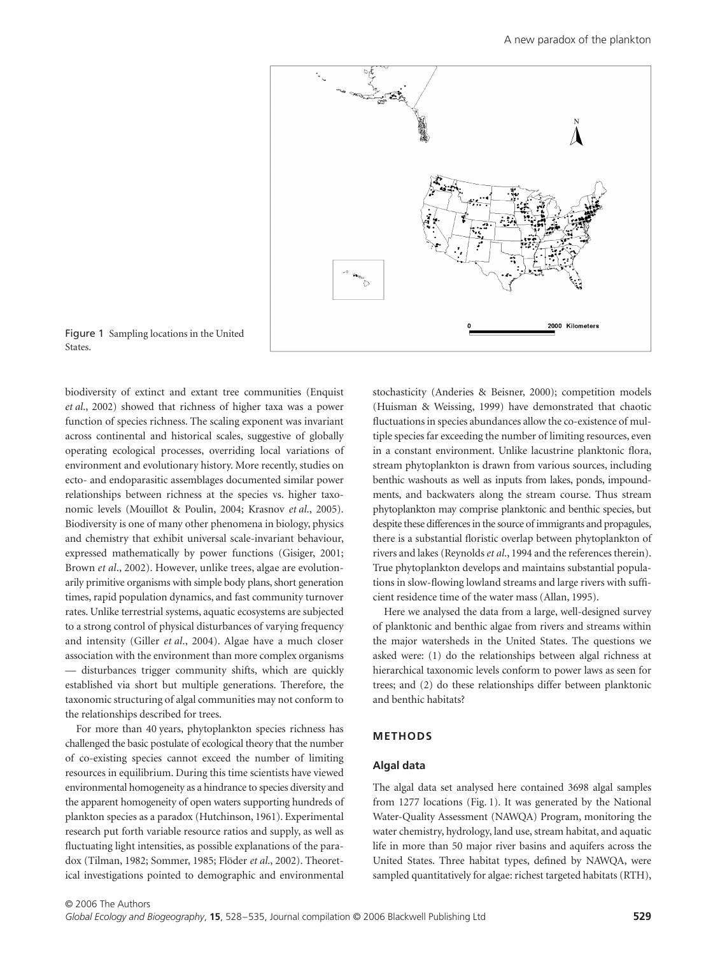

Figure 1 Sampling locations in the United States.

biodiversity of extinct and extant tree communities (Enquist *et al*., 2002) showed that richness of higher taxa was a power function of species richness. The scaling exponent was invariant across continental and historical scales, suggestive of globally operating ecological processes, overriding local variations of environment and evolutionary history. More recently, studies on ecto- and endoparasitic assemblages documented similar power relationships between richness at the species vs. higher taxonomic levels (Mouillot & Poulin, 2004; Krasnov *et al*., 2005). Biodiversity is one of many other phenomena in biology, physics and chemistry that exhibit universal scale-invariant behaviour, expressed mathematically by power functions (Gisiger, 2001; Brown *et al*., 2002). However, unlike trees, algae are evolutionarily primitive organisms with simple body plans, short generation times, rapid population dynamics, and fast community turnover rates. Unlike terrestrial systems, aquatic ecosystems are subjected to a strong control of physical disturbances of varying frequency and intensity (Giller *et al*., 2004). Algae have a much closer association with the environment than more complex organisms — disturbances trigger community shifts, which are quickly established via short but multiple generations. Therefore, the taxonomic structuring of algal communities may not conform to the relationships described for trees.

For more than 40 years, phytoplankton species richness has challenged the basic postulate of ecological theory that the number of co-existing species cannot exceed the number of limiting resources in equilibrium. During this time scientists have viewed environmental homogeneity as a hindrance to species diversity and the apparent homogeneity of open waters supporting hundreds of plankton species as a paradox (Hutchinson, 1961). Experimental research put forth variable resource ratios and supply, as well as fluctuating light intensities, as possible explanations of the paradox (Tilman, 1982; Sommer, 1985; Flöder *et al*., 2002). Theoretical investigations pointed to demographic and environmental

stochasticity (Anderies & Beisner, 2000); competition models (Huisman & Weissing, 1999) have demonstrated that chaotic fluctuations in species abundances allow the co-existence of multiple species far exceeding the number of limiting resources, even in a constant environment. Unlike lacustrine planktonic flora, stream phytoplankton is drawn from various sources, including benthic washouts as well as inputs from lakes, ponds, impoundments, and backwaters along the stream course. Thus stream phytoplankton may comprise planktonic and benthic species, but despite these differences in the source of immigrants and propagules, there is a substantial floristic overlap between phytoplankton of rivers and lakes (Reynolds *et al*., 1994 and the references therein). True phytoplankton develops and maintains substantial populations in slow-flowing lowland streams and large rivers with sufficient residence time of the water mass (Allan, 1995).

Here we analysed the data from a large, well-designed survey of planktonic and benthic algae from rivers and streams within the major watersheds in the United States. The questions we asked were: (1) do the relationships between algal richness at hierarchical taxonomic levels conform to power laws as seen for trees; and (2) do these relationships differ between planktonic and benthic habitats?

# **METHODS**

# **Algal data**

The algal data set analysed here contained 3698 algal samples from 1277 locations (Fig. 1). It was generated by the National Water-Quality Assessment (NAWQA) Program, monitoring the water chemistry, hydrology, land use, stream habitat, and aquatic life in more than 50 major river basins and aquifers across the United States. Three habitat types, defined by NAWQA, were sampled quantitatively for algae: richest targeted habitats (RTH),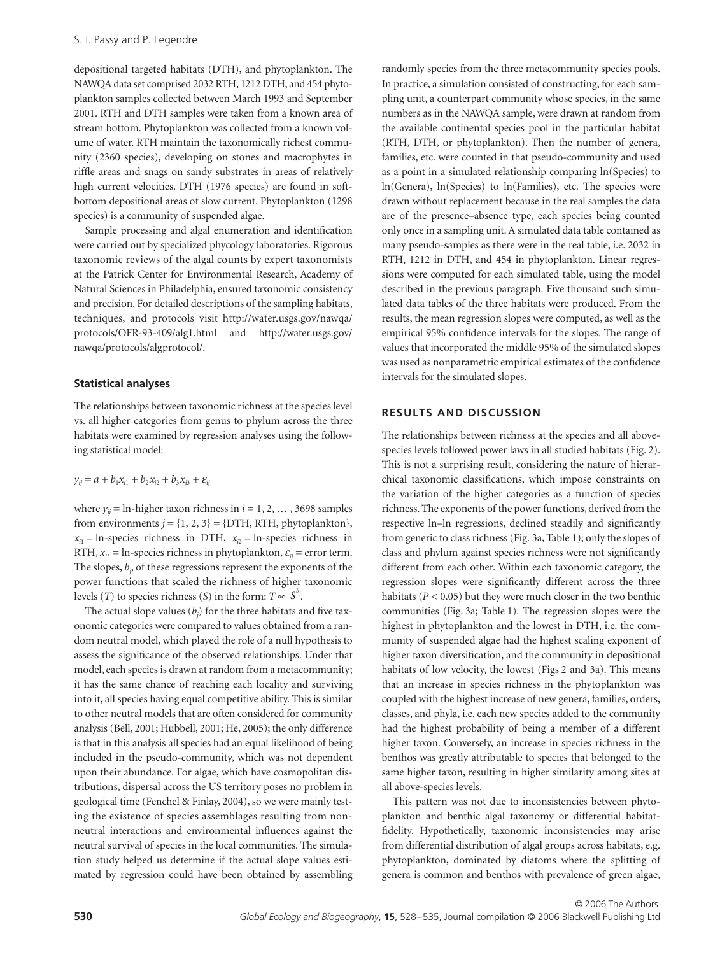depositional targeted habitats (DTH), and phytoplankton. The NAWQA data set comprised 2032 RTH, 1212 DTH, and 454 phytoplankton samples collected between March 1993 and September 2001. RTH and DTH samples were taken from a known area of stream bottom. Phytoplankton was collected from a known volume of water. RTH maintain the taxonomically richest community (2360 species), developing on stones and macrophytes in riffle areas and snags on sandy substrates in areas of relatively high current velocities. DTH (1976 species) are found in softbottom depositional areas of slow current. Phytoplankton (1298 species) is a community of suspended algae.

Sample processing and algal enumeration and identification were carried out by specialized phycology laboratories. Rigorous taxonomic reviews of the algal counts by expert taxonomists at the Patrick Center for Environmental Research, Academy of Natural Sciences in Philadelphia, ensured taxonomic consistency and precision. For detailed descriptions of the sampling habitats, techniques, and protocols visit <http://water.usgs.gov/nawqa/> protocols/OFR-93-409/alg1.html and <http://water.usgs.gov/> nawqa/protocols/algprotocol/.

#### **Statistical analyses**

The relationships between taxonomic richness at the species level vs. all higher categories from genus to phylum across the three habitats were examined by regression analyses using the following statistical model:

$$
y_{ij} = a + b_1 x_{i1} + b_2 x_{i2} + b_3 x_{i3} + \varepsilon_{ij}
$$

where  $y_{ii}$  = ln-higher taxon richness in  $i = 1, 2, \ldots, 3698$  samples from environments  $j = \{1, 2, 3\} = \{DTH, RTH, phytoplankton\},\$  $x_{i1}$  = ln-species richness in DTH,  $x_{i2}$  = ln-species richness in RTH,  $x_i$ <sup>3</sup> = ln-species richness in phytoplankton,  $\varepsilon$ <sub>*ii*</sub> = error term. The slopes,  $b_j$ , of these regressions represent the exponents of the power functions that scaled the richness of higher taxonomic levels (*T*) to species richness (*S*) in the form:  $T \propto S^{b_j}$ .

The actual slope values  $(b_j)$  for the three habitats and five taxonomic categories were compared to values obtained from a random neutral model, which played the role of a null hypothesis to assess the significance of the observed relationships. Under that model, each species is drawn at random from a metacommunity; it has the same chance of reaching each locality and surviving into it, all species having equal competitive ability. This is similar to other neutral models that are often considered for community analysis (Bell, 2001; Hubbell, 2001; He, 2005); the only difference is that in this analysis all species had an equal likelihood of being included in the pseudo-community, which was not dependent upon their abundance. For algae, which have cosmopolitan distributions, dispersal across the US territory poses no problem in geological time (Fenchel & Finlay, 2004), so we were mainly testing the existence of species assemblages resulting from nonneutral interactions and environmental influences against the neutral survival of species in the local communities. The simulation study helped us determine if the actual slope values estimated by regression could have been obtained by assembling

randomly species from the three metacommunity species pools. In practice, a simulation consisted of constructing, for each sampling unit, a counterpart community whose species, in the same numbers as in the NAWQA sample, were drawn at random from the available continental species pool in the particular habitat (RTH, DTH, or phytoplankton). Then the number of genera, families, etc. were counted in that pseudo-community and used as a point in a simulated relationship comparing ln(Species) to ln(Genera), ln(Species) to ln(Families), etc. The species were drawn without replacement because in the real samples the data are of the presence–absence type, each species being counted only once in a sampling unit. A simulated data table contained as many pseudo-samples as there were in the real table, i.e. 2032 in RTH, 1212 in DTH, and 454 in phytoplankton. Linear regressions were computed for each simulated table, using the model described in the previous paragraph. Five thousand such simulated data tables of the three habitats were produced. From the results, the mean regression slopes were computed, as well as the empirical 95% confidence intervals for the slopes. The range of values that incorporated the middle 95% of the simulated slopes was used as nonparametric empirical estimates of the confidence intervals for the simulated slopes.

# **RESULTS AND DISCUSSION**

The relationships between richness at the species and all abovespecies levels followed power laws in all studied habitats (Fig. 2). This is not a surprising result, considering the nature of hierarchical taxonomic classifications, which impose constraints on the variation of the higher categories as a function of species richness. The exponents of the power functions, derived from the respective ln–ln regressions, declined steadily and significantly from generic to class richness (Fig. 3a, Table 1); only the slopes of class and phylum against species richness were not significantly different from each other. Within each taxonomic category, the regression slopes were significantly different across the three habitats (*P <* 0.05) but they were much closer in the two benthic communities (Fig. 3a; Table 1). The regression slopes were the highest in phytoplankton and the lowest in DTH, i.e. the community of suspended algae had the highest scaling exponent of higher taxon diversification, and the community in depositional habitats of low velocity, the lowest (Figs 2 and 3a). This means that an increase in species richness in the phytoplankton was coupled with the highest increase of new genera, families, orders, classes, and phyla, i.e. each new species added to the community had the highest probability of being a member of a different higher taxon. Conversely, an increase in species richness in the benthos was greatly attributable to species that belonged to the same higher taxon, resulting in higher similarity among sites at all above-species levels.

This pattern was not due to inconsistencies between phytoplankton and benthic algal taxonomy or differential habitatfidelity. Hypothetically, taxonomic inconsistencies may arise from differential distribution of algal groups across habitats, e.g. phytoplankton, dominated by diatoms where the splitting of genera is common and benthos with prevalence of green algae,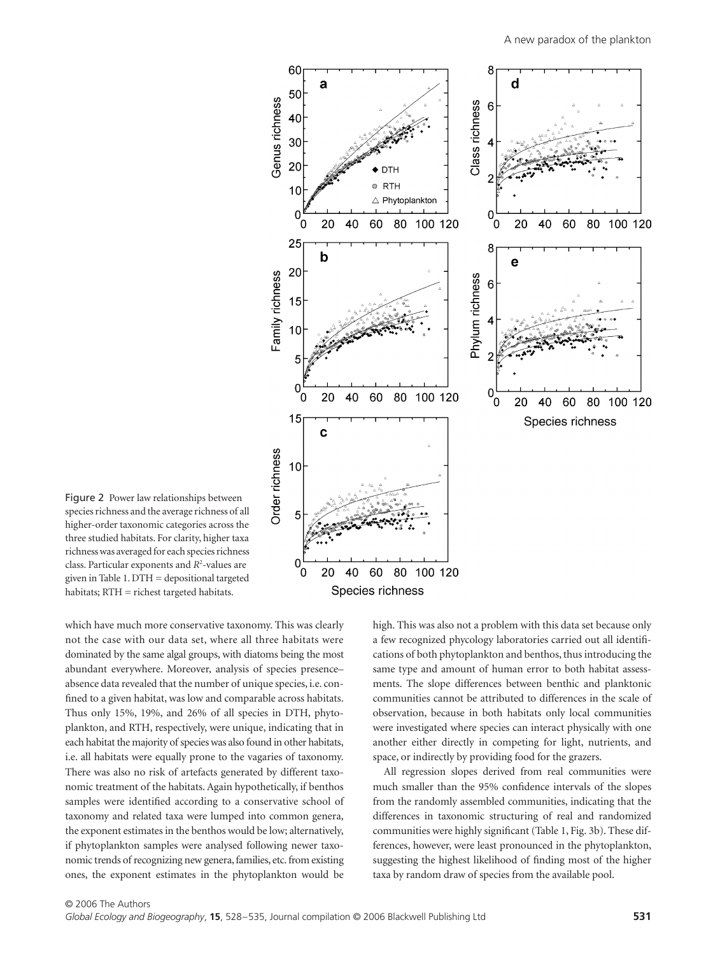

Figure 2 Power law relationships between species richness and the average richness of all higher-order taxonomic categories across the three studied habitats. For clarity, higher taxa richness was averaged for each species richness class. Particular exponents and *R*<sup>2</sup> -values are given in Table 1. DTH = depositional targeted habitats; RTH = richest targeted habitats.

which have much more conservative taxonomy. This was clearly not the case with our data set, where all three habitats were dominated by the same algal groups, with diatoms being the most abundant everywhere. Moreover, analysis of species presence– absence data revealed that the number of unique species, i.e. confined to a given habitat, was low and comparable across habitats. Thus only 15%, 19%, and 26% of all species in DTH, phytoplankton, and RTH, respectively, were unique, indicating that in each habitat the majority of species was also found in other habitats, i.e. all habitats were equally prone to the vagaries of taxonomy. There was also no risk of artefacts generated by different taxonomic treatment of the habitats. Again hypothetically, if benthos samples were identified according to a conservative school of taxonomy and related taxa were lumped into common genera, the exponent estimates in the benthos would be low; alternatively, if phytoplankton samples were analysed following newer taxonomic trends of recognizing new genera, families, etc. from existing ones, the exponent estimates in the phytoplankton would be

high. This was also not a problem with this data set because only a few recognized phycology laboratories carried out all identifications of both phytoplankton and benthos, thus introducing the same type and amount of human error to both habitat assessments. The slope differences between benthic and planktonic communities cannot be attributed to differences in the scale of observation, because in both habitats only local communities were investigated where species can interact physically with one another either directly in competing for light, nutrients, and space, or indirectly by providing food for the grazers.

All regression slopes derived from real communities were much smaller than the 95% confidence intervals of the slopes from the randomly assembled communities, indicating that the differences in taxonomic structuring of real and randomized communities were highly significant (Table 1, Fig. 3b). These differences, however, were least pronounced in the phytoplankton, suggesting the highest likelihood of finding most of the higher taxa by random draw of species from the available pool.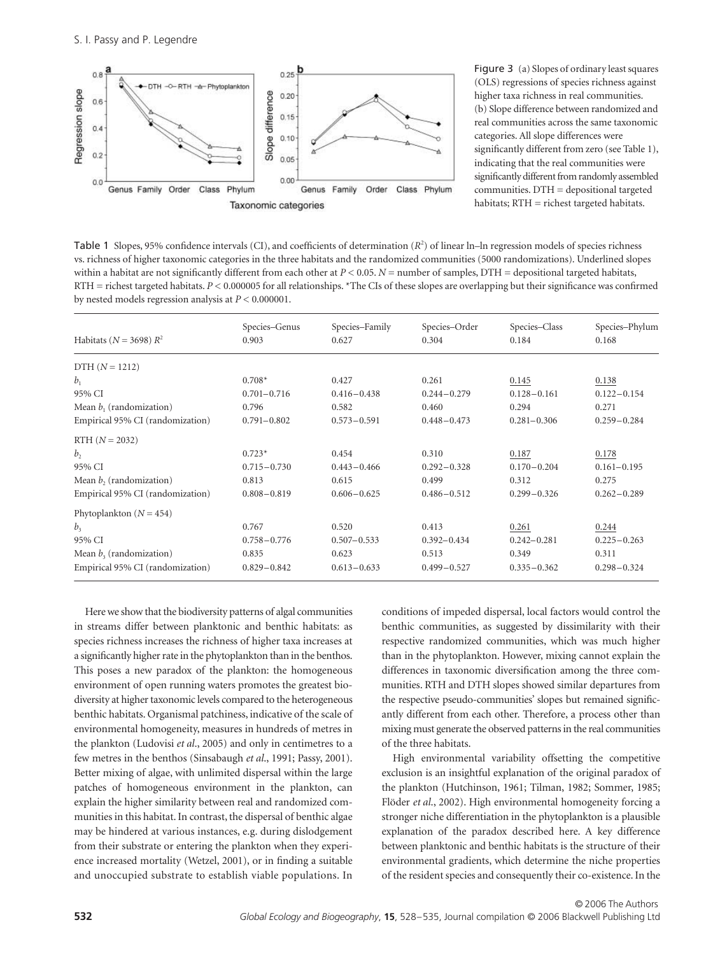

Figure 3 (a) Slopes of ordinary least squares (OLS) regressions of species richness against higher taxa richness in real communities. (b) Slope difference between randomized and real communities across the same taxonomic categories. All slope differences were significantly different from zero (see Table 1), indicating that the real communities were significantly different from randomly assembled communities. DTH = depositional targeted habitats; RTH = richest targeted habitats.

Table 1 Slopes, 95% confidence intervals (CI), and coefficients of determination  $(R^2)$  of linear ln–ln regression models of species richness vs. richness of higher taxonomic categories in the three habitats and the randomized communities (5000 randomizations). Underlined slopes within a habitat are not significantly different from each other at  $P < 0.05$ .  $N =$  number of samples, DTH = depositional targeted habitats, RTH = richest targeted habitats. *P* < 0.000005 for all relationships. \*The CIs of these slopes are overlapping but their significance was confirmed by nested models regression analysis at *P* < 0.000001.

| Habitats ( $N = 3698$ ) $R^2$    | Species-Genus<br>0.903 | Species-Family<br>0.627 | Species-Order<br>0.304 | Species-Class<br>0.184 | Species-Phylum<br>0.168 |
|----------------------------------|------------------------|-------------------------|------------------------|------------------------|-------------------------|
|                                  |                        |                         |                        |                        |                         |
| b <sub>1</sub>                   | $0.708*$               | 0.427                   | 0.261                  | 0.145                  | 0.138                   |
| 95% CI                           | $0.701 - 0.716$        | $0.416 - 0.438$         | $0.244 - 0.279$        | $0.128 - 0.161$        | $0.122 - 0.154$         |
| Mean $b_1$ (randomization)       | 0.796                  | 0.582                   | 0.460                  | 0.294                  | 0.271                   |
| Empirical 95% CI (randomization) | $0.791 - 0.802$        | $0.573 - 0.591$         | $0.448 - 0.473$        | $0.281 - 0.306$        | $0.259 - 0.284$         |
| $RTH(N = 2032)$                  |                        |                         |                        |                        |                         |
| b <sub>2</sub>                   | $0.723*$               | 0.454                   | 0.310                  | 0.187                  | 0.178                   |
| 95% CI                           | $0.715 - 0.730$        | $0.443 - 0.466$         | $0.292 - 0.328$        | $0.170 - 0.204$        | $0.161 - 0.195$         |
| Mean $b$ , (randomization)       | 0.813                  | 0.615                   | 0.499                  | 0.312                  | 0.275                   |
| Empirical 95% CI (randomization) | $0.808 - 0.819$        | $0.606 - 0.625$         | $0.486 - 0.512$        | $0.299 - 0.326$        | $0.262 - 0.289$         |
| Phytoplankton $(N = 454)$        |                        |                         |                        |                        |                         |
| b <sub>3</sub>                   | 0.767                  | 0.520                   | 0.413                  | 0.261                  | 0.244                   |
| 95% CI                           | $0.758 - 0.776$        | $0.507 - 0.533$         | $0.392 - 0.434$        | $0.242 - 0.281$        | $0.225 - 0.263$         |
| Mean $b_3$ (randomization)       | 0.835                  | 0.623                   | 0.513                  | 0.349                  | 0.311                   |
| Empirical 95% CI (randomization) | $0.829 - 0.842$        | $0.613 - 0.633$         | $0.499 - 0.527$        | $0.335 - 0.362$        | $0.298 - 0.324$         |

Here we show that the biodiversity patterns of algal communities in streams differ between planktonic and benthic habitats: as species richness increases the richness of higher taxa increases at a significantly higher rate in the phytoplankton than in the benthos. This poses a new paradox of the plankton: the homogeneous environment of open running waters promotes the greatest biodiversity at higher taxonomic levels compared to the heterogeneous benthic habitats. Organismal patchiness, indicative of the scale of environmental homogeneity, measures in hundreds of metres in the plankton (Ludovisi *et al*., 2005) and only in centimetres to a few metres in the benthos (Sinsabaugh *et al*., 1991; Passy, 2001). Better mixing of algae, with unlimited dispersal within the large patches of homogeneous environment in the plankton, can explain the higher similarity between real and randomized communities in this habitat. In contrast, the dispersal of benthic algae may be hindered at various instances, e.g. during dislodgement from their substrate or entering the plankton when they experience increased mortality (Wetzel, 2001), or in finding a suitable and unoccupied substrate to establish viable populations. In

conditions of impeded dispersal, local factors would control the benthic communities, as suggested by dissimilarity with their respective randomized communities, which was much higher than in the phytoplankton. However, mixing cannot explain the differences in taxonomic diversification among the three communities. RTH and DTH slopes showed similar departures from the respective pseudo-communities' slopes but remained significantly different from each other. Therefore, a process other than mixing must generate the observed patterns in the real communities of the three habitats.

High environmental variability offsetting the competitive exclusion is an insightful explanation of the original paradox of the plankton (Hutchinson, 1961; Tilman, 1982; Sommer, 1985; Flöder *et al*., 2002). High environmental homogeneity forcing a stronger niche differentiation in the phytoplankton is a plausible explanation of the paradox described here. A key difference between planktonic and benthic habitats is the structure of their environmental gradients, which determine the niche properties of the resident species and consequently their co-existence. In the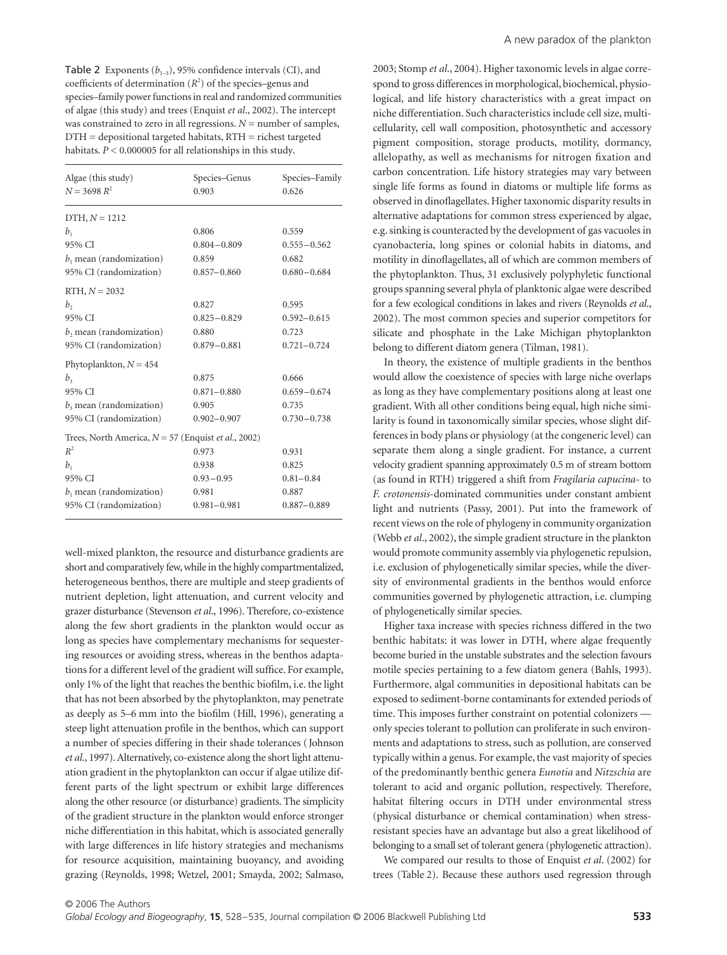Table 2 Exponents  $(b_{1-3})$ , 95% confidence intervals (CI), and coefficients of determination  $(R^2)$  of the species–genus and species–family power functions in real and randomized communities of algae (this study) and trees (Enquist *et al*., 2002). The intercept was constrained to zero in all regressions.  $N =$  number of samples,  $DTH =$  depositional targeted habitats,  $RTH =$  richest targeted habitats. *P* < 0.000005 for all relationships in this study.

| Algae (this study)<br>$N = 3698 R^2$                  | Species-Genus<br>0.903 | Species-Family<br>0.626 |
|-------------------------------------------------------|------------------------|-------------------------|
| $DTH, N = 1212$                                       |                        |                         |
| b <sub>1</sub>                                        | 0.806                  | 0.559                   |
| 95% CI                                                | $0.804 - 0.809$        | $0.555 - 0.562$         |
| $b_1$ mean (randomization)                            | 0.859                  | 0.682                   |
| 95% CI (randomization)                                | $0.857 - 0.860$        | $0.680 - 0.684$         |
| $RTH, N = 2032$                                       |                        |                         |
| b <sub>2</sub>                                        | 0.827                  | 0.595                   |
| 95% CI                                                | $0.825 - 0.829$        | $0.592 - 0.615$         |
| $b$ , mean (randomization)                            | 0.880                  | 0.723                   |
| 95% CI (randomization)                                | $0.879 - 0.881$        | $0.721 - 0.724$         |
| Phytoplankton, $N = 454$                              |                        |                         |
| b <sub>3</sub>                                        | 0.875                  | 0.666                   |
| 95% CI                                                | $0.871 - 0.880$        | $0.659 - 0.674$         |
| $b_3$ mean (randomization)                            | 0.905                  | 0.735                   |
| 95% CI (randomization)                                | $0.902 - 0.907$        | $0.730 - 0.738$         |
| Trees, North America, $N = 57$ (Enquist et al., 2002) |                        |                         |
| $R^2$                                                 | 0.973                  | 0.931                   |
| $b_{1}$                                               | 0.938                  | 0.825                   |
| 95% CI                                                | $0.93 - 0.95$          | $0.81 - 0.84$           |
| $b_1$ mean (randomization)                            | 0.981                  | 0.887                   |
| 95% CI (randomization)                                | $0.981 - 0.981$        | $0.887 - 0.889$         |

well-mixed plankton, the resource and disturbance gradients are short and comparatively few, while in the highly compartmentalized, heterogeneous benthos, there are multiple and steep gradients of nutrient depletion, light attenuation, and current velocity and grazer disturbance (Stevenson *et al*., 1996). Therefore, co-existence along the few short gradients in the plankton would occur as long as species have complementary mechanisms for sequestering resources or avoiding stress, whereas in the benthos adaptations for a different level of the gradient will suffice. For example, only 1% of the light that reaches the benthic biofilm, i.e. the light that has not been absorbed by the phytoplankton, may penetrate as deeply as 5–6 mm into the biofilm (Hill, 1996), generating a steep light attenuation profile in the benthos, which can support a number of species differing in their shade tolerances (Johnson *et al*., 1997). Alternatively, co-existence along the short light attenuation gradient in the phytoplankton can occur if algae utilize different parts of the light spectrum or exhibit large differences along the other resource (or disturbance) gradients. The simplicity of the gradient structure in the plankton would enforce stronger niche differentiation in this habitat, which is associated generally with large differences in life history strategies and mechanisms for resource acquisition, maintaining buoyancy, and avoiding grazing (Reynolds, 1998; Wetzel, 2001; Smayda, 2002; Salmaso,

2003; Stomp *et al*., 2004). Higher taxonomic levels in algae correspond to gross differences in morphological, biochemical, physiological, and life history characteristics with a great impact on niche differentiation. Such characteristics include cell size, multicellularity, cell wall composition, photosynthetic and accessory pigment composition, storage products, motility, dormancy, allelopathy, as well as mechanisms for nitrogen fixation and carbon concentration. Life history strategies may vary between single life forms as found in diatoms or multiple life forms as observed in dinoflagellates. Higher taxonomic disparity results in alternative adaptations for common stress experienced by algae, e.g. sinking is counteracted by the development of gas vacuoles in cyanobacteria, long spines or colonial habits in diatoms, and motility in dinoflagellates, all of which are common members of the phytoplankton. Thus, 31 exclusively polyphyletic functional groups spanning several phyla of planktonic algae were described for a few ecological conditions in lakes and rivers (Reynolds *et al*., 2002). The most common species and superior competitors for silicate and phosphate in the Lake Michigan phytoplankton belong to different diatom genera (Tilman, 1981).

In theory, the existence of multiple gradients in the benthos would allow the coexistence of species with large niche overlaps as long as they have complementary positions along at least one gradient. With all other conditions being equal, high niche similarity is found in taxonomically similar species, whose slight differences in body plans or physiology (at the congeneric level) can separate them along a single gradient. For instance, a current velocity gradient spanning approximately 0.5 m of stream bottom (as found in RTH) triggered a shift from *Fragilaria capucina-* to *F. crotonensis*-dominated communities under constant ambient light and nutrients (Passy, 2001). Put into the framework of recent views on the role of phylogeny in community organization (Webb *et al*., 2002), the simple gradient structure in the plankton would promote community assembly via phylogenetic repulsion, i.e. exclusion of phylogenetically similar species, while the diversity of environmental gradients in the benthos would enforce communities governed by phylogenetic attraction, i.e. clumping of phylogenetically similar species.

Higher taxa increase with species richness differed in the two benthic habitats: it was lower in DTH, where algae frequently become buried in the unstable substrates and the selection favours motile species pertaining to a few diatom genera (Bahls, 1993). Furthermore, algal communities in depositional habitats can be exposed to sediment-borne contaminants for extended periods of time. This imposes further constraint on potential colonizers only species tolerant to pollution can proliferate in such environments and adaptations to stress, such as pollution, are conserved typically within a genus. For example, the vast majority of species of the predominantly benthic genera *Eunotia* and *Nitzschia* are tolerant to acid and organic pollution, respectively. Therefore, habitat filtering occurs in DTH under environmental stress (physical disturbance or chemical contamination) when stressresistant species have an advantage but also a great likelihood of belonging to a small set of tolerant genera (phylogenetic attraction).

We compared our results to those of Enquist *et al*. (2002) for trees (Table 2). Because these authors used regression through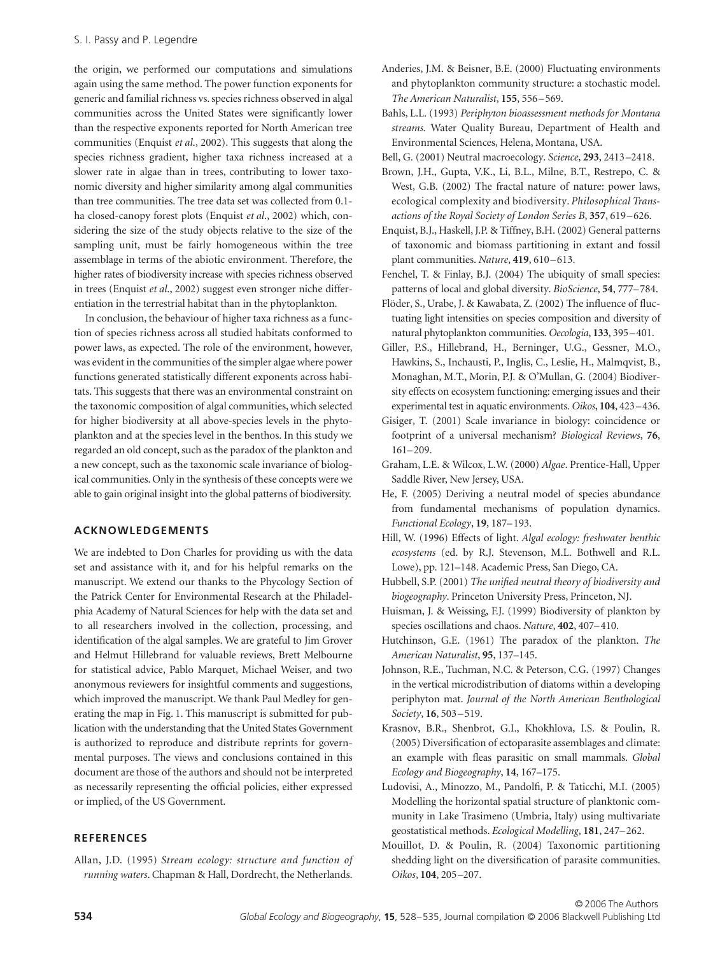the origin, we performed our computations and simulations again using the same method. The power function exponents for generic and familial richness vs. species richness observed in algal communities across the United States were significantly lower than the respective exponents reported for North American tree communities (Enquist *et al*., 2002). This suggests that along the species richness gradient, higher taxa richness increased at a slower rate in algae than in trees, contributing to lower taxonomic diversity and higher similarity among algal communities than tree communities. The tree data set was collected from 0.1 ha closed-canopy forest plots (Enquist *et al*., 2002) which, considering the size of the study objects relative to the size of the sampling unit, must be fairly homogeneous within the tree assemblage in terms of the abiotic environment. Therefore, the higher rates of biodiversity increase with species richness observed in trees (Enquist *et al*., 2002) suggest even stronger niche differentiation in the terrestrial habitat than in the phytoplankton.

In conclusion, the behaviour of higher taxa richness as a function of species richness across all studied habitats conformed to power laws, as expected. The role of the environment, however, was evident in the communities of the simpler algae where power functions generated statistically different exponents across habitats. This suggests that there was an environmental constraint on the taxonomic composition of algal communities, which selected for higher biodiversity at all above-species levels in the phytoplankton and at the species level in the benthos. In this study we regarded an old concept, such as the paradox of the plankton and a new concept, such as the taxonomic scale invariance of biological communities. Only in the synthesis of these concepts were we able to gain original insight into the global patterns of biodiversity.

# **ACKNOWLEDGEMENTS**

We are indebted to Don Charles for providing us with the data set and assistance with it, and for his helpful remarks on the manuscript. We extend our thanks to the Phycology Section of the Patrick Center for Environmental Research at the Philadelphia Academy of Natural Sciences for help with the data set and to all researchers involved in the collection, processing, and identification of the algal samples. We are grateful to Jim Grover and Helmut Hillebrand for valuable reviews, Brett Melbourne for statistical advice, Pablo Marquet, Michael Weiser, and two anonymous reviewers for insightful comments and suggestions, which improved the manuscript. We thank Paul Medley for generating the map in Fig. 1. This manuscript is submitted for publication with the understanding that the United States Government is authorized to reproduce and distribute reprints for governmental purposes. The views and conclusions contained in this document are those of the authors and should not be interpreted as necessarily representing the official policies, either expressed or implied, of the US Government.

# **REFERENCES**

Allan, J.D. (1995) *Stream ecology: structure and function of running waters*. Chapman & Hall, Dordrecht, the Netherlands.

- Anderies, J.M. & Beisner, B.E. (2000) Fluctuating environments and phytoplankton community structure: a stochastic model. *The American Naturalist*, **155**, 556–569.
- Bahls, L.L. (1993) *Periphyton bioassessment methods for Montana streams.* Water Quality Bureau, Department of Health and Environmental Sciences, Helena, Montana, USA.
- Bell, G. (2001) Neutral macroecology. *Science*, **293**, 2413–2418.
- Brown, J.H., Gupta, V.K., Li, B.L., Milne, B.T., Restrepo, C. & West, G.B. (2002) The fractal nature of nature: power laws, ecological complexity and biodiversity. *Philosophical Transactions of the Royal Society of London Series B*, **357**, 619–626.
- Enquist, B.J., Haskell, J.P. & Tiffney, B.H. (2002) General patterns of taxonomic and biomass partitioning in extant and fossil plant communities. *Nature*, **419**, 610–613.
- Fenchel, T. & Finlay, B.J. (2004) The ubiquity of small species: patterns of local and global diversity. *BioScience*, **54**, 777–784.
- Flöder, S., Urabe, J. & Kawabata, Z. (2002) The influence of fluctuating light intensities on species composition and diversity of natural phytoplankton communities. *Oecologia*, **133**, 395–401.
- Giller, P.S., Hillebrand, H., Berninger, U.G., Gessner, M.O., Hawkins, S., Inchausti, P., Inglis, C., Leslie, H., Malmqvist, B., Monaghan, M.T., Morin, P.J. & O'Mullan, G. (2004) Biodiversity effects on ecosystem functioning: emerging issues and their experimental test in aquatic environments. *Oikos*, **104**, 423–436.
- Gisiger, T. (2001) Scale invariance in biology: coincidence or footprint of a universal mechanism? *Biological Reviews*, **76**, 161–209.
- Graham, L.E. & Wilcox, L.W. (2000) *Algae*. Prentice-Hall, Upper Saddle River, New Jersey, USA.
- He, F. (2005) Deriving a neutral model of species abundance from fundamental mechanisms of population dynamics. *Functional Ecology*, **19**, 187–193.
- Hill, W. (1996) Effects of light. *Algal ecology: freshwater benthic ecosystems* (ed. by R.J. Stevenson, M.L. Bothwell and R.L. Lowe), pp. 121–148. Academic Press, San Diego, CA.
- Hubbell, S.P. (2001) *The unified neutral theory of biodiversity and biogeography*. Princeton University Press, Princeton, NJ.
- Huisman, J. & Weissing, F.J. (1999) Biodiversity of plankton by species oscillations and chaos. *Nature*, **402**, 407–410.
- Hutchinson, G.E. (1961) The paradox of the plankton. *The American Naturalist*, **95**, 137–145.
- Johnson, R.E., Tuchman, N.C. & Peterson, C.G. (1997) Changes in the vertical microdistribution of diatoms within a developing periphyton mat. *Journal of the North American Benthological Society*, **16**, 503–519.
- Krasnov, B.R., Shenbrot, G.I., Khokhlova, I.S. & Poulin, R. (2005) Diversification of ectoparasite assemblages and climate: an example with fleas parasitic on small mammals. *Global Ecology and Biogeography*, **14**, 167–175.
- Ludovisi, A., Minozzo, M., Pandolfi, P. & Taticchi, M.I. (2005) Modelling the horizontal spatial structure of planktonic community in Lake Trasimeno (Umbria, Italy) using multivariate geostatistical methods. *Ecological Modelling*, **181**, 247–262.
- Mouillot, D. & Poulin, R. (2004) Taxonomic partitioning shedding light on the diversification of parasite communities. *Oikos*, **104**, 205–207.